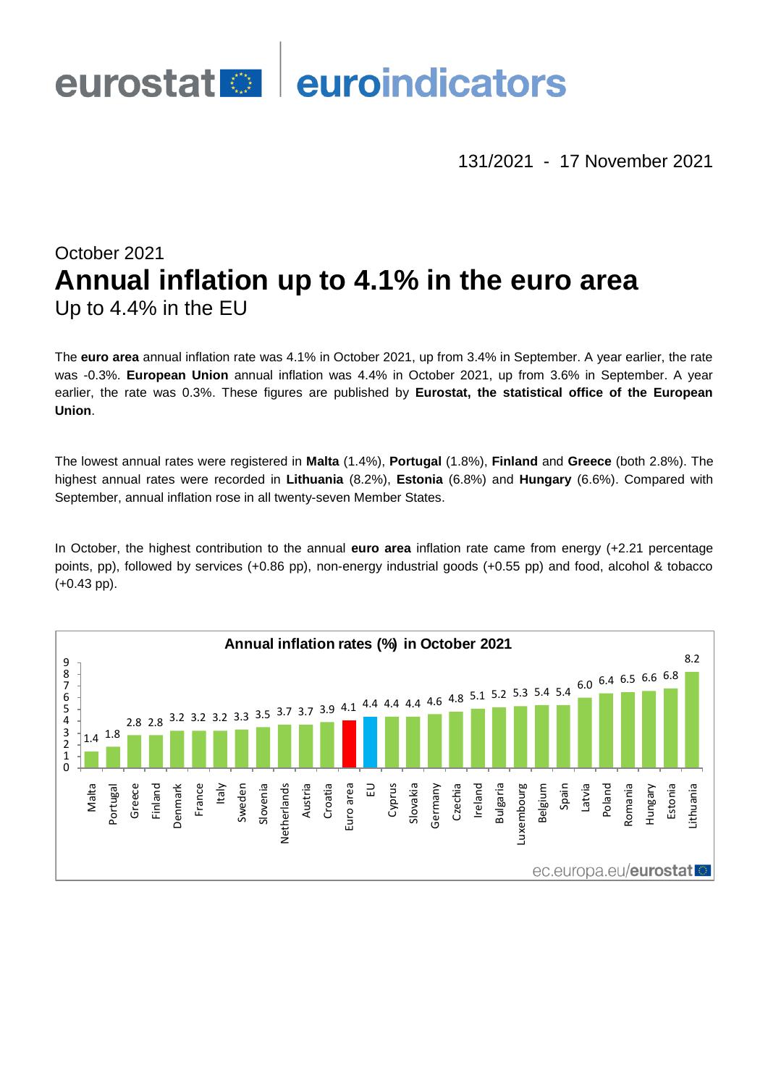

131/2021 - 17 November 2021

# October 2021 **Annual inflation up to 4.1% in the euro area** Up to 4.4% in the EU

The **euro area** annual inflation rate was 4.1% in October 2021, up from 3.4% in September. A year earlier, the rate was -0.3%. **European Union** annual inflation was 4.4% in October 2021, up from 3.6% in September. A year earlier, the rate was 0.3%. These figures are published by **Eurostat, the statistical office of the European Union**.

The lowest annual rates were registered in **Malta** (1.4%), **Portugal** (1.8%), **Finland** and **Greece** (both 2.8%). The highest annual rates were recorded in **Lithuania** (8.2%), **Estonia** (6.8%) and **Hungary** (6.6%). Compared with September, annual inflation rose in all twenty-seven Member States.

In October, the highest contribution to the annual **euro area** inflation rate came from energy (+2.21 percentage points, pp), followed by services (+0.86 pp), non-energy industrial goods (+0.55 pp) and food, alcohol & tobacco (+0.43 pp).

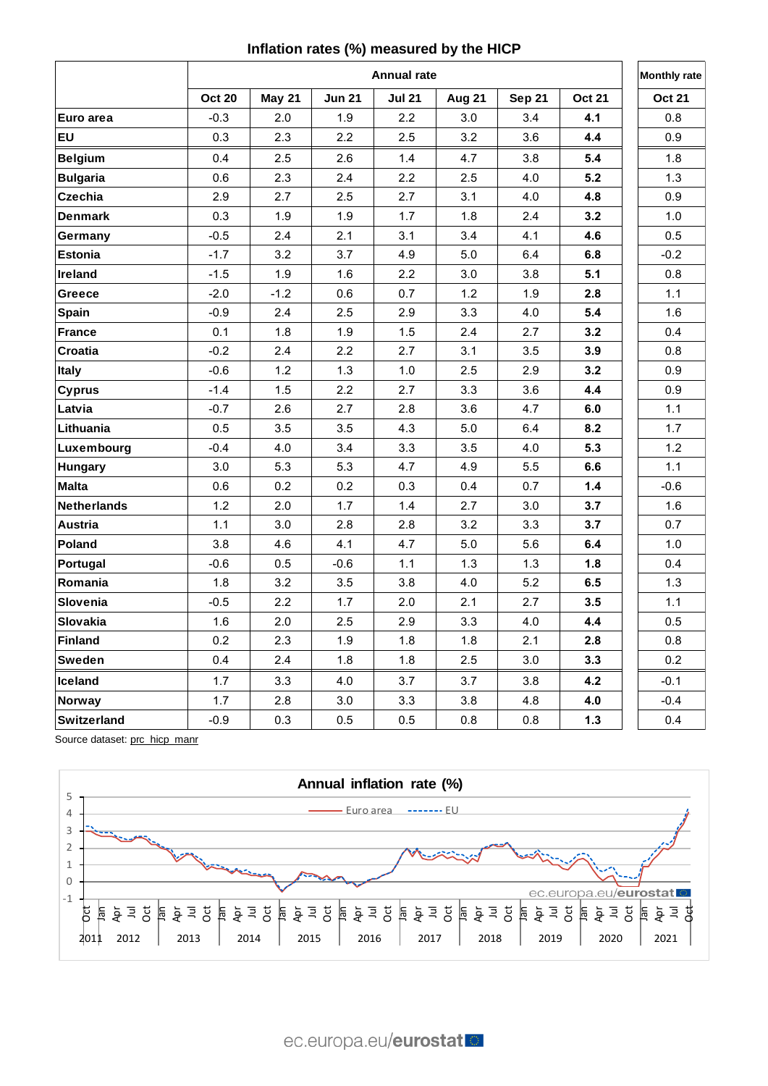# **Inflation rates (%) measured by the HICP**

|                    |               | <b>Annual rate</b> |               |               |         |               |               |               |  |  |
|--------------------|---------------|--------------------|---------------|---------------|---------|---------------|---------------|---------------|--|--|
|                    | <b>Oct 20</b> | <b>May 21</b>      | <b>Jun 21</b> | <b>Jul 21</b> | Aug 21  | <b>Sep 21</b> | <b>Oct 21</b> | <b>Oct 21</b> |  |  |
| Euro area          | $-0.3$        | 2.0                | 1.9           | 2.2           | 3.0     | 3.4           | 4.1           | 0.8           |  |  |
| EU                 | 0.3           | 2.3                | 2.2           | 2.5           | 3.2     | 3.6           | 4.4           | 0.9           |  |  |
| <b>Belgium</b>     | 0.4           | 2.5                | 2.6           | 1.4           | 4.7     | 3.8           | 5.4           | 1.8           |  |  |
| <b>Bulgaria</b>    | 0.6           | 2.3                | 2.4           | 2.2           | 2.5     | 4.0           | 5.2           | 1.3           |  |  |
| <b>Czechia</b>     | 2.9           | 2.7                | 2.5           | 2.7           | 3.1     | 4.0           | 4.8           | 0.9           |  |  |
| <b>Denmark</b>     | 0.3           | 1.9                | 1.9           | 1.7           | 1.8     | 2.4           | 3.2           | 1.0           |  |  |
| Germany            | $-0.5$        | 2.4                | 2.1           | 3.1           | 3.4     | 4.1           | 4.6           | 0.5           |  |  |
| <b>Estonia</b>     | $-1.7$        | 3.2                | 3.7           | 4.9           | 5.0     | 6.4           | 6.8           | $-0.2$        |  |  |
| Ireland            | $-1.5$        | 1.9                | 1.6           | 2.2           | 3.0     | 3.8           | 5.1           | 0.8           |  |  |
| <b>Greece</b>      | $-2.0$        | $-1.2$             | 0.6           | 0.7           | 1.2     | 1.9           | 2.8           | 1.1           |  |  |
| <b>Spain</b>       | $-0.9$        | 2.4                | 2.5           | 2.9           | 3.3     | 4.0           | 5.4           | 1.6           |  |  |
| <b>France</b>      | 0.1           | 1.8                | 1.9           | 1.5           | 2.4     | 2.7           | 3.2           | 0.4           |  |  |
| Croatia            | $-0.2$        | 2.4                | $2.2\,$       | 2.7           | 3.1     | 3.5           | 3.9           | 0.8           |  |  |
| <b>Italy</b>       | $-0.6$        | 1.2                | 1.3           | 1.0           | 2.5     | 2.9           | 3.2           | 0.9           |  |  |
| <b>Cyprus</b>      | $-1.4$        | 1.5                | 2.2           | 2.7           | 3.3     | 3.6           | 4.4           | 0.9           |  |  |
| Latvia             | $-0.7$        | 2.6                | 2.7           | 2.8           | 3.6     | 4.7           | 6.0           | 1.1           |  |  |
| Lithuania          | 0.5           | 3.5                | 3.5           | 4.3           | 5.0     | 6.4           | 8.2           | 1.7           |  |  |
| Luxembourg         | $-0.4$        | 4.0                | 3.4           | 3.3           | 3.5     | 4.0           | 5.3           | 1.2           |  |  |
| <b>Hungary</b>     | 3.0           | 5.3                | 5.3           | 4.7           | 4.9     | 5.5           | 6.6           | 1.1           |  |  |
| <b>Malta</b>       | 0.6           | 0.2                | 0.2           | 0.3           | 0.4     | 0.7           | 1.4           | $-0.6$        |  |  |
| <b>Netherlands</b> | 1.2           | 2.0                | 1.7           | 1.4           | 2.7     | 3.0           | 3.7           | 1.6           |  |  |
| <b>Austria</b>     | 1.1           | 3.0                | 2.8           | 2.8           | 3.2     | 3.3           | 3.7           | 0.7           |  |  |
| <b>Poland</b>      | 3.8           | 4.6                | 4.1           | 4.7           | 5.0     | 5.6           | 6.4           | 1.0           |  |  |
| Portugal           | $-0.6$        | 0.5                | $-0.6$        | 1.1           | 1.3     | 1.3           | 1.8           | 0.4           |  |  |
| Romania            | 1.8           | 3.2                | 3.5           | 3.8           | 4.0     | 5.2           | 6.5           | 1.3           |  |  |
| <b>Slovenia</b>    | $-0.5$        | 2.2                | 1.7           | 2.0           | 2.1     | 2.7           | 3.5           | 1.1           |  |  |
| <b>Slovakia</b>    | 1.6           | 2.0                | 2.5           | 2.9           | 3.3     | 4.0           | 4.4           | 0.5           |  |  |
| <b>Finland</b>     | 0.2           | 2.3                | 1.9           | 1.8           | 1.8     | 2.1           | 2.8           | 0.8           |  |  |
| Sweden             | 0.4           | 2.4                | 1.8           | 1.8           | $2.5\,$ | 3.0           | 3.3           | 0.2           |  |  |
| Iceland            | 1.7           | 3.3                | 4.0           | 3.7           | 3.7     | 3.8           | 4.2           | $-0.1$        |  |  |
| Norway             | 1.7           | 2.8                | 3.0           | 3.3           | 3.8     | 4.8           | 4.0           | $-0.4$        |  |  |
| Switzerland        | $-0.9$        | 0.3                | 0.5           | 0.5           | 0.8     | 0.8           | $1.3$         | 0.4           |  |  |

Source dataset: [prc\\_hicp\\_manr](https://ec.europa.eu/eurostat/databrowser/bookmark/952bcf60-22e8-433b-ab93-fe85e2ab2367?lang=en)

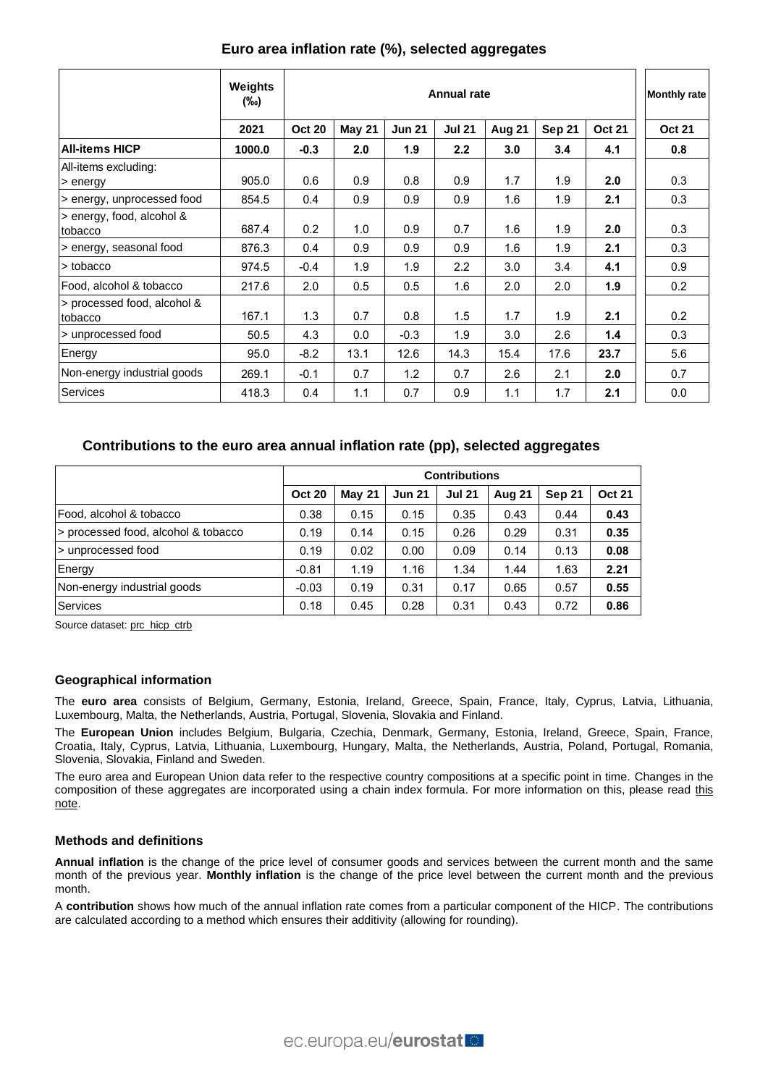|                                        | Weights<br>$(\%0)$ | Annual rate   |               |               |               |        |               |               |
|----------------------------------------|--------------------|---------------|---------------|---------------|---------------|--------|---------------|---------------|
|                                        | 2021               | <b>Oct 20</b> | <b>May 21</b> | <b>Jun 21</b> | <b>Jul 21</b> | Aug 21 | <b>Sep 21</b> | <b>Oct 21</b> |
| <b>All-items HICP</b>                  | 1000.0             | $-0.3$        | 2.0           | 1.9           | 2.2           | 3.0    | 3.4           | 4.1           |
| All-items excluding:<br>> energy       | 905.0              | 0.6           | 0.9           | 0.8           | 0.9           | 1.7    | 1.9           | 2.0           |
| > energy, unprocessed food             | 854.5              | 0.4           | 0.9           | 0.9           | 0.9           | 1.6    | 1.9           | 2.1           |
| > energy, food, alcohol &<br>tobacco   | 687.4              | 0.2           | 1.0           | 0.9           | 0.7           | 1.6    | 1.9           | 2.0           |
| > energy, seasonal food                | 876.3              | 0.4           | 0.9           | 0.9           | 0.9           | 1.6    | 1.9           | 2.1           |
| > tobacco                              | 974.5              | $-0.4$        | 1.9           | 1.9           | 2.2           | 3.0    | 3.4           | 4.1           |
| Food, alcohol & tobacco                | 217.6              | 2.0           | 0.5           | 0.5           | 1.6           | 2.0    | 2.0           | 1.9           |
| > processed food, alcohol &<br>tobacco | 167.1              | 1.3           | 0.7           | 0.8           | 1.5           | 1.7    | 1.9           | 2.1           |
| > unprocessed food                     | 50.5               | 4.3           | 0.0           | $-0.3$        | 1.9           | 3.0    | 2.6           | 1.4           |
| Energy                                 | 95.0               | $-8.2$        | 13.1          | 12.6          | 14.3          | 15.4   | 17.6          | 23.7          |
| Non-energy industrial goods            | 269.1              | $-0.1$        | 0.7           | 1.2           | 0.7           | 2.6    | 2.1           | 2.0           |
| <b>Services</b>                        | 418.3              | 0.4           | 1.1           | 0.7           | 0.9           | 1.1    | 1.7           | 2.1           |

# **Euro area inflation rate (%), selected aggregates**

## **Contributions to the euro area annual inflation rate (pp), selected aggregates**

|                                     | <b>Contributions</b> |               |               |               |               |        |               |  |  |
|-------------------------------------|----------------------|---------------|---------------|---------------|---------------|--------|---------------|--|--|
|                                     | <b>Oct 20</b>        | <b>May 21</b> | <b>Jun 21</b> | <b>Jul 21</b> | <b>Aug 21</b> | Sep 21 | <b>Oct 21</b> |  |  |
| Food, alcohol & tobacco             | 0.38                 | 0.15          | 0.15          | 0.35          | 0.43          | 0.44   | 0.43          |  |  |
| > processed food, alcohol & tobacco | 0.19                 | 0.14          | 0.15          | 0.26          | 0.29          | 0.31   | 0.35          |  |  |
| > unprocessed food                  | 0.19                 | 0.02          | 0.00          | 0.09          | 0.14          | 0.13   | 0.08          |  |  |
| Energy                              | $-0.81$              | 1.19          | 1.16          | 1.34          | 1.44          | 1.63   | 2.21          |  |  |
| Non-energy industrial goods         | $-0.03$              | 0.19          | 0.31          | 0.17          | 0.65          | 0.57   | 0.55          |  |  |
| Services                            | 0.18                 | 0.45          | 0.28          | 0.31          | 0.43          | 0.72   | 0.86          |  |  |

Source dataset: [prc\\_hicp\\_ctrb](https://ec.europa.eu/eurostat/databrowser/bookmark/bac11816-2418-49ca-8966-654723b72928?lang=en)

#### **Geographical information**

The **euro area** consists of Belgium, Germany, Estonia, Ireland, Greece, Spain, France, Italy, Cyprus, Latvia, Lithuania, Luxembourg, Malta, the Netherlands, Austria, Portugal, Slovenia, Slovakia and Finland.

The **European Union** includes Belgium, Bulgaria, Czechia, Denmark, Germany, Estonia, Ireland, Greece, Spain, France, Croatia, Italy, Cyprus, Latvia, Lithuania, Luxembourg, Hungary, Malta, the Netherlands, Austria, Poland, Portugal, Romania, Slovenia, Slovakia, Finland and Sweden.

The euro area and European Union data refer to the respective country compositions at a specific point in time. Changes in the composition of these aggregates are incorporated using a chain index formula. For more information on this, please read this [note.](https://ec.europa.eu/eurostat/documents/272892/272974/EU-and+EEA-aggregates-calculation-post-Brexit/)

## **Methods and definitions**

**Annual inflation** is the change of the price level of consumer goods and services between the current month and the same month of the previous year. **Monthly inflation** is the change of the price level between the current month and the previous month.

A **contribution** shows how much of the annual inflation rate comes from a particular component of the HICP. The contributions are calculated according to a method which ensures their additivity (allowing for rounding).